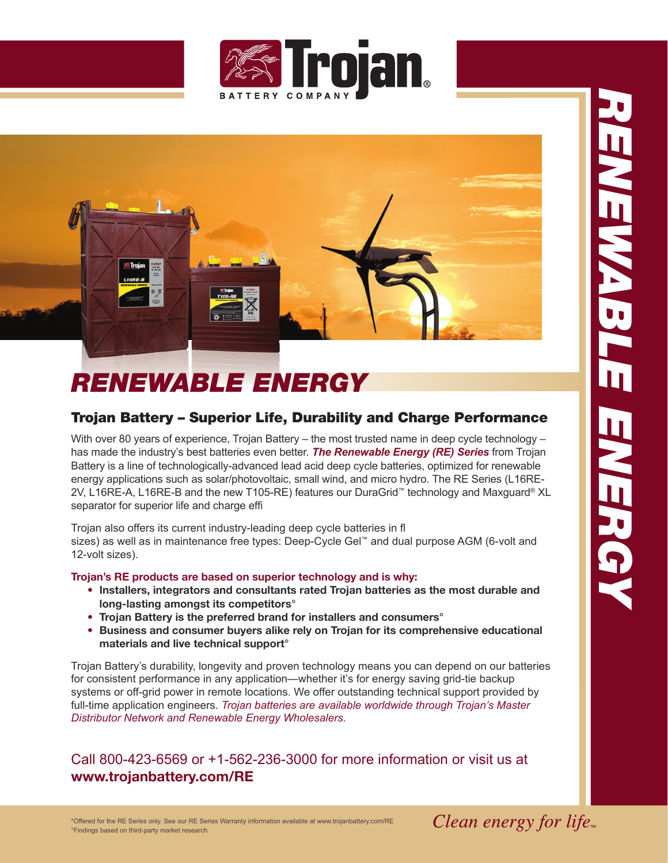



## *RENEWABLE ENERGY*

## Trojan Battery – Superior Life, Durability and Charge Performance

With over 80 years of experience, Trojan Battery – the most trusted name in deep cycle technology – has made the industry's best batteries even better. *The Renewable Energy (RE) Series* from Trojan Battery is a line of technologically-advanced lead acid deep cycle batteries, optimized for renewable energy applications such as solar/photovoltaic, small wind, and micro hydro. The RE Series (L16RE-2V, L16RE-A, L16RE-B and the new T105-RE) features our DuraGrid ™ technology and Maxguard ® XL separator for superior life and charge effi

Trojan also offers its current industry-leading deep cycle batteries in f sizes) as well as in maintenance free types: Deep-Cycle Gel ™ and dual purpose AGM (6-volt and 12-volt sizes).

## **Trojan's RE products are based on superior technology and is why:**

- **• Installers, integrators and consultants rated Trojan batteries as the most durable and long-lasting amongst its competitors°**
- **• Trojan Battery is the preferred brand for installers and consumers°**
- **• Business and consumer buyers alike rely on Trojan for its comprehensive educational materials and live technical support°**

Trojan Battery's durability, longevity and proven technology means you can depend on our batteries for consistent performance in any application—whether it's for energy saving grid-tie backup systems or off-grid power in remote locations. We offer outstanding technical support provided by full-time application engineers. *Trojan batteries are available worldwide through Trojan's Master Distributor Network and Renewable Energy Wholesalers.*

Call 800-423-6569 or +1-562-236-3000 for more information or visit us at **www.trojanbattery.com/RE**